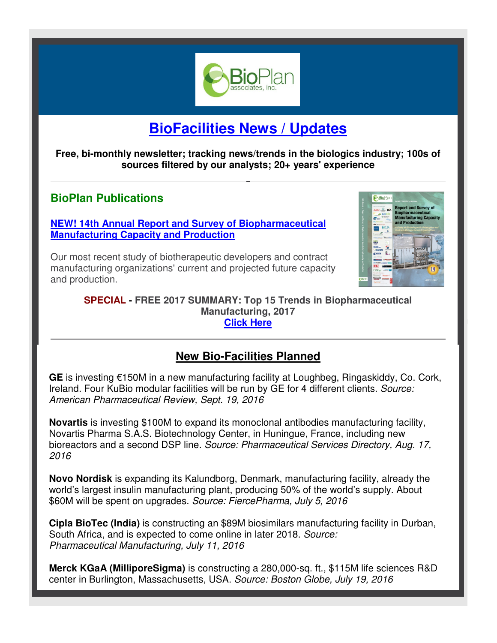

# **BioFacilities News / Updates**

**Free, bi-monthly newsletter; tracking news/trends in the biologics industry; 100s of sources filtered by our analysts; 20+ years' experience** 

## **BioPlan Publications**

**[NEW! 14th Annual Report and Survey of Biopharmaceutical](http://bioplanassociates.com/biopharma-mfg-capacity-production/)  Manufacturing Capacity and Production** 

Our most recent study of biotherapeutic developers and contract manufacturing organizations' current and projected future capacity and production.



**SPECIAL - FREE 2017 SUMMARY: Top 15 Trends in Biopharmaceutical Manufacturing, 2017 [Click Here](http://secure.ultracart.com/cgi-bin/UCEditor?merchantId=BIOPL&ADD=14TH_TOP15_TRENDS)**

## **New Bio-Facilities Planned**

**GE** is investing €150M in a new manufacturing facility at Loughbeg, Ringaskiddy, Co. Cork, Ireland. Four KuBio modular facilities will be run by GE for 4 different clients. *Source: American Pharmaceutical Review, Sept. 19, 2016*

**Novartis** is investing \$100M to expand its monoclonal antibodies manufacturing facility, Novartis Pharma S.A.S. Biotechnology Center, in Huningue, France, including new bioreactors and a second DSP line. *Source: Pharmaceutical Services Directory, Aug. 17, 2016*

**Novo Nordisk** is expanding its Kalundborg, Denmark, manufacturing facility, already the world's largest insulin manufacturing plant, producing 50% of the world's supply. About \$60M will be spent on upgrades. *Source: FiercePharma, July 5, 2016*

**Cipla BioTec (India)** is constructing an \$89M biosimilars manufacturing facility in Durban, South Africa, and is expected to come online in later 2018. *Source: Pharmaceutical Manufacturing, July 11, 2016* 

**Merck KGaA (MilliporeSigma)** is constructing a 280,000-sq. ft., \$115M life sciences R&D center in Burlington, Massachusetts, USA. *Source: Boston Globe, July 19, 2016*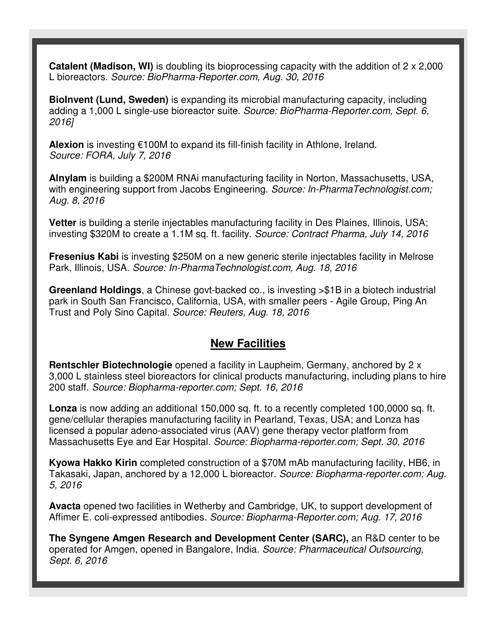**Catalent (Madison, WI)** is doubling its bioprocessing capacity with the addition of 2 x 2,000 L bioreactors. *Source: BioPharma-Reporter.com, Aug. 30, 2016* 

**BioInvent (Lund, Sweden)** is expanding its microbial manufacturing capacity, including adding a 1,000 L single-use bioreactor suite. *Source: BioPharma-Reporter.com, Sept. 6, 2016]* 

**Alexion** is investing €100M to expand its fill-finish facility in Athlone, Ireland. *Source: FORA, July 7, 2016* 

**Alnylam** is building a \$200M RNAi manufacturing facility in Norton, Massachusetts, USA, with engineering support from Jacobs Engineering. *Source: In-PharmaTechnologist.com; Aug. 8, 2016* 

**Vetter** is building a sterile injectables manufacturing facility in Des Plaines, Illinois, USA; investing \$320M to create a 1.1M sq. ft. facility. *Source: Contract Pharma, July 14, 2016*

**Fresenius Kabi** is investing \$250M on a new generic sterile injectables facility in Melrose Park, Illinois, USA. *Source: In-PharmaTechnologist.com, Aug. 18, 2016*

**Greenland Holdings**, a Chinese govt-backed co., is investing >\$1B in a biotech industrial park in South San Francisco, California, USA, with smaller peers - Agile Group, Ping An Trust and Poly Sino Capital. *Source: Reuters, Aug. 18, 2016*

#### **New Facilities**

**Rentschler Biotechnologie** opened a facility in Laupheim, Germany, anchored by 2 x 3,000 L stainless steel bioreactors for clinical products manufacturing, including plans to hire 200 staff. *Source: Biopharma-reporter.com; Sept. 16, 2016*

**Lonza** is now adding an additional 150,000 sq. ft. to a recently completed 100,0000 sq. ft. gene/cellular therapies manufacturing facility in Pearland, Texas, USA; and Lonza has licensed a popular adeno-associated virus (AAV) gene therapy vector platform from Massachusetts Eye and Ear Hospital. *Source: Biopharma-reporter.com; Sept. 30, 2016*

**Kyowa Hakko Kirin** completed construction of a \$70M mAb manufacturing facility, HB6, in Takasaki, Japan, anchored by a 12,000 L bioreactor. *Source: Biopharma-reporter.com; Aug. 5, 2016*

**Avacta** opened two facilities in Wetherby and Cambridge, UK, to support development of Affimer E. coli-expressed antibodies. *Source: Biopharma-Reporter.com; Aug. 17, 2016*

**The Syngene Amgen Research and Development Center (SARC),** an R&D center to be operated for Amgen, opened in Bangalore, India. *Source: Pharmaceutical Outsourcing, Sept. 6, 2016*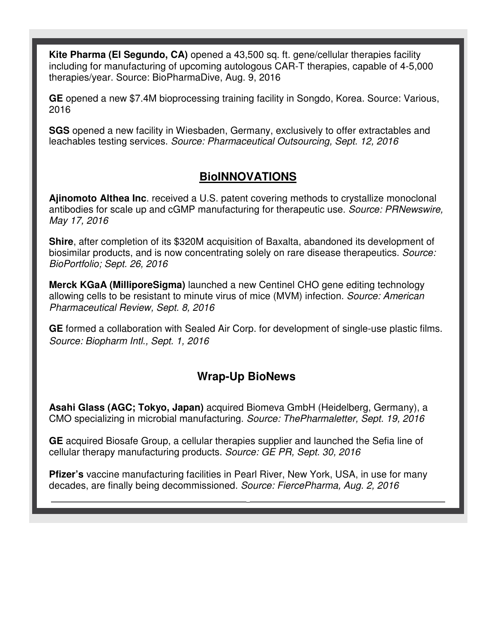**Kite Pharma (El Segundo, CA)** opened a 43,500 sq. ft. gene/cellular therapies facility including for manufacturing of upcoming autologous CAR-T therapies, capable of 4-5,000 therapies/year. Source: BioPharmaDive, Aug. 9, 2016

**GE** opened a new \$7.4M bioprocessing training facility in Songdo, Korea. Source: Various, 2016

**SGS** opened a new facility in Wiesbaden, Germany, exclusively to offer extractables and leachables testing services. *Source: Pharmaceutical Outsourcing, Sept. 12, 2016* 

### **BioINNOVATIONS**

**Ajinomoto Althea Inc**. received a U.S. patent covering methods to crystallize monoclonal antibodies for scale up and cGMP manufacturing for therapeutic use. *Source: PRNewswire, May 17, 2016* 

**Shire**, after completion of its \$320M acquisition of Baxalta, abandoned its development of biosimilar products, and is now concentrating solely on rare disease therapeutics. *Source: BioPortfolio; Sept. 26, 2016*

**Merck KGaA (MilliporeSigma)** launched a new Centinel CHO gene editing technology allowing cells to be resistant to minute virus of mice (MVM) infection. *Source: American Pharmaceutical Review, Sept. 8, 2016*

**GE** formed a collaboration with Sealed Air Corp. for development of single-use plastic films. *Source: Biopharm Intl., Sept. 1, 2016*

## **Wrap-Up BioNews**

**Asahi Glass (AGC; Tokyo, Japan)** acquired Biomeva GmbH (Heidelberg, Germany), a CMO specializing in microbial manufacturing. *Source: ThePharmaletter, Sept. 19, 2016*

**GE** acquired Biosafe Group, a cellular therapies supplier and launched the Sefia line of cellular therapy manufacturing products. *Source: GE PR, Sept. 30, 2016* 

**Pfizer's** vaccine manufacturing facilities in Pearl River, New York, USA, in use for many decades, are finally being decommissioned. *Source: FiercePharma, Aug. 2, 2016*